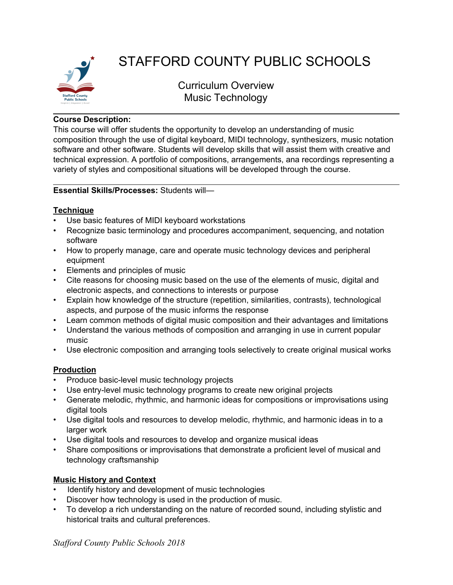

# STAFFORD COUNTY PUBLIC SCHOOLS

Curriculum Overview Music Technology

#### **Course Description:**

This course will offer students the opportunity to develop an understanding of music composition through the use of digital keyboard, MIDI technology, synthesizers, music notation software and other software. Students will develop skills that will assist them with creative and technical expression. A portfolio of compositions, arrangements, ana recordings representing a variety of styles and compositional situations will be developed through the course.

#### **Essential Skills/Processes:** Students will—

#### **Technique**

- Use basic features of MIDI keyboard workstations
- Recognize basic terminology and procedures accompaniment, sequencing, and notation software
- How to properly manage, care and operate music technology devices and peripheral equipment
- Elements and principles of music
- Cite reasons for choosing music based on the use of the elements of music, digital and electronic aspects, and connections to interests or purpose
- Explain how knowledge of the structure (repetition, similarities, contrasts), technological aspects, and purpose of the music informs the response
- Learn common methods of digital music composition and their advantages and limitations
- Understand the various methods of composition and arranging in use in current popular music
- Use electronic composition and arranging tools selectively to create original musical works

# **Production**

- Produce basic-level music technology projects
- Use entry-level music technology programs to create new original projects
- Generate melodic, rhythmic, and harmonic ideas for compositions or improvisations using digital tools
- Use digital tools and resources to develop melodic, rhythmic, and harmonic ideas in to a larger work
- Use digital tools and resources to develop and organize musical ideas
- Share compositions or improvisations that demonstrate a proficient level of musical and technology craftsmanship

# **Music History and Context**

- Identify history and development of music technologies
- Discover how technology is used in the production of music.
- To develop a rich understanding on the nature of recorded sound, including stylistic and historical traits and cultural preferences.